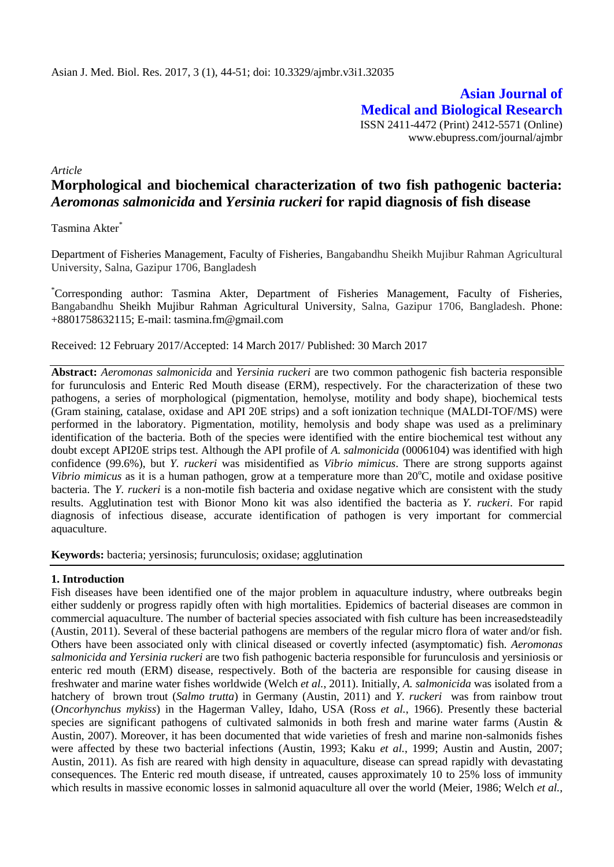**Asian Journal of Medical and Biological Research** ISSN 2411-4472 (Print) 2412-5571 (Online) www.ebupress.com/journal/ajmbr

*Article*

# **Morphological and biochemical characterization of two fish pathogenic bacteria:**  *Aeromonas salmonicida* **and** *Yersinia ruckeri* **for rapid diagnosis of fish disease**

Tasmina Akter<sup>\*</sup>

Department of Fisheries Management, Faculty of Fisheries, Bangabandhu Sheikh Mujibur Rahman Agricultural University, Salna, Gazipur 1706, Bangladesh

\*Corresponding author: Tasmina Akter, Department of Fisheries Management, Faculty of Fisheries, Bangabandhu Sheikh Mujibur Rahman Agricultural University*,* Salna, Gazipur 1706, Bangladesh. Phone: +8801758632115; E-mail: tasmina.fm@gmail.com

Received: 12 February 2017/Accepted: 14 March 2017/ Published: 30 March 2017

**Abstract:** *Aeromonas salmonicida* and *Yersinia ruckeri* are two common pathogenic fish bacteria responsible for furunculosis and Enteric Red Mouth disease (ERM), respectively. For the characterization of these two pathogens, a series of morphological (pigmentation, hemolyse, motility and body shape), biochemical tests (Gram staining, catalase, oxidase and API 20E strips) and a soft [ionization](https://en.wikipedia.org/wiki/Ionization) technique (MALDI-TOF/MS) were performed in the laboratory. Pigmentation, motility, hemolysis and body shape was used as a preliminary identification of the bacteria. Both of the species were identified with the entire biochemical test without any doubt except API20E strips test. Although the API profile of *A. salmonicida* (0006104) was identified with high confidence (99.6%), but *Y. ruckeri* was misidentified as *Vibrio mimicus*. There are strong supports against *Vibrio mimicus* as it is a human pathogen, grow at a temperature more than  $20^{\circ}$ C, motile and oxidase positive bacteria. The *Y. ruckeri* is a non-motile fish bacteria and oxidase negative which are consistent with the study results. Agglutination test with Bionor Mono kit was also identified the bacteria as *Y. ruckeri*. For rapid diagnosis of infectious disease, accurate identification of pathogen is very important for commercial aquaculture.

**Keywords:** bacteria; yersinosis; furunculosis; oxidase; agglutination

## **1. Introduction**

Fish diseases have been identified one of the major problem in aquaculture industry, where outbreaks begin either suddenly or progress rapidly often with high mortalities. Epidemics of bacterial diseases are common in commercial aquaculture. The number of bacterial species associated with fish culture has been increasedsteadily (Austin, 2011). Several of these bacterial pathogens are members of the regular micro flora of water and/or fish. Others have been associated only with clinical diseased or covertly infected (asymptomatic) fish. *Aeromonas salmonicida and Yersinia ruckeri* are two fish pathogenic bacteria responsible for furunculosis and yersiniosis or enteric red mouth (ERM) disease, respectively. Both of the bacteria are responsible for causing disease in freshwater and marine water fishes worldwide (Welch *et al.*, 2011). Initially, *A. salmonicida* was isolated from a hatchery of brown trout (*Salmo trutta*) in Germany (Austin, 2011) and *Y. ruckeri* was from rainbow trout (*Oncorhynchus mykiss*) in the Hagerman Valley, Idaho, USA (Ross *et al.*, 1966). Presently these bacterial species are significant pathogens of cultivated salmonids in both fresh and marine water farms (Austin  $\&$ Austin, 2007). Moreover, it has been documented that wide varieties of fresh and marine non-salmonids fishes were affected by these two bacterial infections (Austin, 1993; Kaku *et al.*, 1999; Austin and Austin, 2007; Austin, 2011). As fish are reared with high density in aquaculture, disease can spread rapidly with devastating consequences. The Enteric red mouth disease, if untreated, causes approximately 10 to 25% loss of immunity which results in massive economic losses in salmonid aquaculture all over the world (Meier, 1986; Welch *et al.*,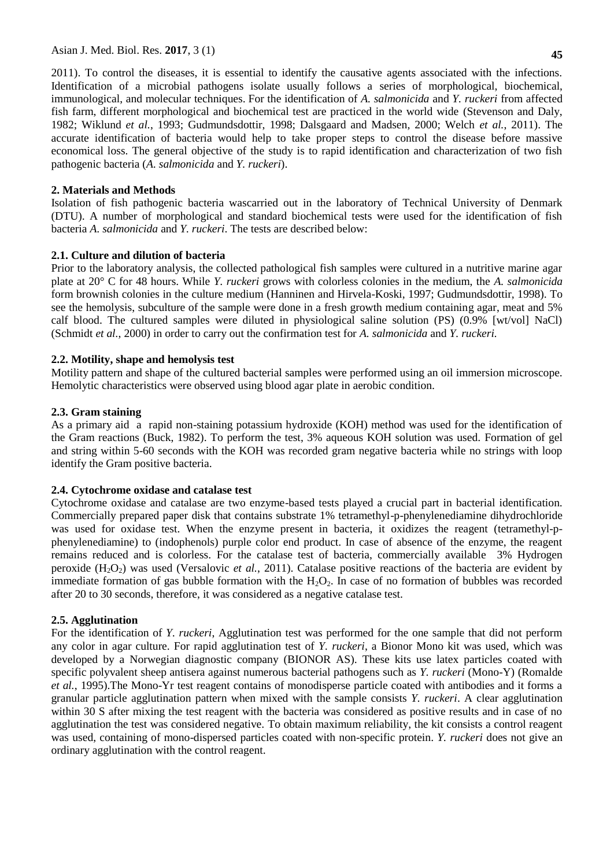2011). To control the diseases, it is essential to identify the causative agents associated with the infections. Identification of a microbial pathogens isolate usually follows a series of morphological, biochemical, immunological, and molecular techniques. For the identification of *A. salmonicida* and *Y. ruckeri* from affected fish farm, different morphological and biochemical test are practiced in the world wide (Stevenson and Daly, 1982; Wiklund *et al.*, 1993; Gudmundsdottir, 1998; Dalsgaard and Madsen, 2000; Welch *et al.*, 2011). The accurate identification of bacteria would help to take proper steps to control the disease before massive economical loss. The general objective of the study is to rapid identification and characterization of two fish pathogenic bacteria (*A. salmonicida* and *Y. ruckeri*).

## **2. Materials and Methods**

Isolation of fish pathogenic bacteria wascarried out in the laboratory of Technical University of Denmark (DTU). A number of morphological and standard biochemical tests were used for the identification of fish bacteria *A. salmonicida* and *Y. ruckeri*. The tests are described below:

## **2.1. Culture and dilution of bacteria**

Prior to the laboratory analysis, the collected pathological fish samples were cultured in a nutritive marine agar plate at 20° C for 48 hours. While *Y. ruckeri* grows with colorless colonies in the medium, the *A. salmonicida* form brownish colonies in the culture medium (Hanninen and Hirvela-Koski, 1997; Gudmundsdottir, 1998). To see the hemolysis, subculture of the sample were done in a fresh growth medium containing agar, meat and 5% calf blood. The cultured samples were diluted in physiological saline solution (PS) (0.9% [wt/vol] NaCl) (Schmidt *et al.*, 2000) in order to carry out the confirmation test for *A. salmonicida* and *Y. ruckeri.*

## **2.2. Motility, shape and hemolysis test**

Motility pattern and shape of the cultured bacterial samples were performed using an oil immersion microscope. Hemolytic characteristics were observed using blood agar plate in aerobic condition.

## **2.3. Gram staining**

As a primary aid a rapid non-staining potassium hydroxide (KOH) method was used for the identification of the Gram reactions (Buck, 1982). To perform the test, 3% aqueous KOH solution was used. Formation of gel and string within 5-60 seconds with the KOH was recorded gram negative bacteria while no strings with loop identify the Gram positive bacteria.

## **2.4. Cytochrome oxidase and catalase test**

Cytochrome oxidase and catalase are two enzyme-based tests played a crucial part in bacterial identification. Commercially prepared paper disk that contains substrate 1% tetramethyl-p-phenylenediamine dihydrochloride was used for oxidase test. When the enzyme present in bacteria, it oxidizes the reagent (tetramethyl-pphenylenediamine) to (indophenols) purple color end product. In case of absence of the enzyme, the reagent remains reduced and is colorless. For the catalase test of bacteria, commercially available 3% Hydrogen peroxide (H2O2) was used (Versalovic *et al.*, 2011). Catalase positive reactions of the bacteria are evident by immediate formation of gas bubble formation with the  $H_2O_2$ . In case of no formation of bubbles was recorded after 20 to 30 seconds, therefore, it was considered as a negative catalase test.

## **2.5. Agglutination**

For the identification of *Y. ruckeri*, Agglutination test was performed for the one sample that did not perform any color in agar culture. For rapid agglutination test of *Y. ruckeri*, a Bionor Mono kit was used, which was developed by a Norwegian diagnostic company (BIONOR AS). These kits use latex particles coated with specific polyvalent sheep antisera against numerous bacterial pathogens such as *Y. ruckeri* (Mono-Y) (Romalde *et al.*, 1995).The Mono-Yr test reagent contains of monodisperse particle coated with antibodies and it forms a granular particle agglutination pattern when mixed with the sample consists *Y. ruckeri*. A clear agglutination within 30 S after mixing the test reagent with the bacteria was considered as positive results and in case of no agglutination the test was considered negative. To obtain maximum reliability, the kit consists a control reagent was used, containing of mono-dispersed particles coated with non-specific protein. *Y. ruckeri* does not give an ordinary agglutination with the control reagent.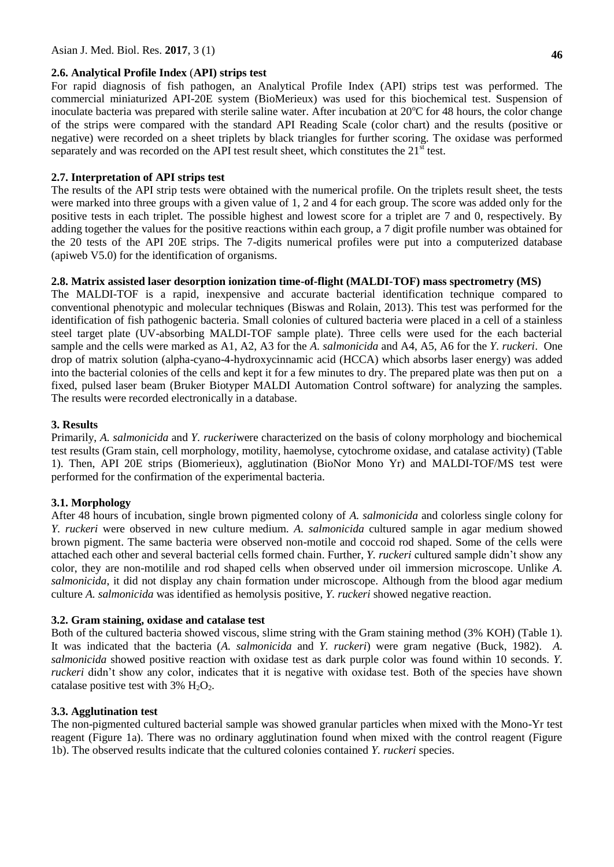#### **2.6. Analytical Profile Index** (**API) strips test**

For rapid diagnosis of fish pathogen, an Analytical Profile Index (API) strips test was performed. The commercial miniaturized API-20E system (BioMerieux) was used for this biochemical test. Suspension of inoculate bacteria was prepared with sterile saline water. After incubation at  $20^{\circ}$ C for 48 hours, the color change of the strips were compared with the standard API Reading Scale (color chart) and the results (positive or negative) were recorded on a sheet triplets by black triangles for further scoring. The oxidase was performed separately and was recorded on the API test result sheet, which constitutes the  $21<sup>st</sup>$  test.

#### **2.7. Interpretation of API strips test**

The results of the API strip tests were obtained with the numerical profile. On the triplets result sheet, the tests were marked into three groups with a given value of 1, 2 and 4 for each group. The score was added only for the positive tests in each triplet. The possible highest and lowest score for a triplet are 7 and 0, respectively. By adding together the values for the positive reactions within each group, a 7 digit profile number was obtained for the 20 tests of the API 20E strips. The 7-digits numerical profiles were put into a computerized database (apiweb V5.0) for the identification of organisms.

#### **2.8. Matrix assisted laser desorption ionization time-of-flight (MALDI-TOF) mass spectrometry (MS)**

The MALDI-TOF is a rapid, inexpensive and accurate bacterial identification technique compared to conventional phenotypic and molecular techniques (Biswas and Rolain, 2013). This test was performed for the identification of fish pathogenic bacteria. Small colonies of cultured bacteria were placed in a cell of a stainless steel target plate (UV-absorbing MALDI-TOF sample plate). Three cells were used for the each bacterial sample and the cells were marked as A1, A2, A3 for the *A. salmonicida* and A4, A5, A6 for the *Y. ruckeri*. One drop of matrix solution (alpha-cyano-4-hydroxycinnamic acid (HCCA) which absorbs laser energy) was added into the bacterial colonies of the cells and kept it for a few minutes to dry. The prepared plate was then put on a fixed, pulsed laser beam (Bruker Biotyper MALDI Automation Control software) for analyzing the samples. The results were recorded electronically in a database.

## **3. Results**

Primarily, *A. salmonicida* and *Y. ruckeri*were characterized on the basis of colony morphology and biochemical test results (Gram stain, cell morphology, motility, haemolyse, cytochrome oxidase, and catalase activity) (Table 1). Then, API 20E strips (Biomerieux), agglutination (BioNor Mono Yr) and MALDI-TOF/MS test were performed for the confirmation of the experimental bacteria.

## **3.1. Morphology**

After 48 hours of incubation, single brown pigmented colony of *A. salmonicida* and colorless single colony for *Y. ruckeri* were observed in new culture medium. *A. salmonicida* cultured sample in agar medium showed brown pigment. The same bacteria were observed non-motile and coccoid rod shaped. Some of the cells were attached each other and several bacterial cells formed chain. Further, *Y. ruckeri* cultured sample didn't show any color, they are non-motilile and rod shaped cells when observed under oil immersion microscope. Unlike *A. salmonicida*, it did not display any chain formation under microscope. Although from the blood agar medium culture *A. salmonicida* was identified as hemolysis positive, *Y. ruckeri* showed negative reaction.

## **3.2. Gram staining, oxidase and catalase test**

Both of the cultured bacteria showed viscous, slime string with the Gram staining method (3% KOH) (Table 1). It was indicated that the bacteria (*A. salmonicida* and *Y. ruckeri*) were gram negative (Buck, 1982). *A. salmonicida* showed positive reaction with oxidase test as dark purple color was found within 10 seconds. *Y. ruckeri* didn't show any color, indicates that it is negative with oxidase test. Both of the species have shown catalase positive test with  $3\%$  H<sub>2</sub>O<sub>2</sub>.

## **3.3. Agglutination test**

The non-pigmented cultured bacterial sample was showed granular particles when mixed with the Mono-Yr test reagent (Figure 1a). There was no ordinary agglutination found when mixed with the control reagent (Figure 1b). The observed results indicate that the cultured colonies contained *Y. ruckeri* species.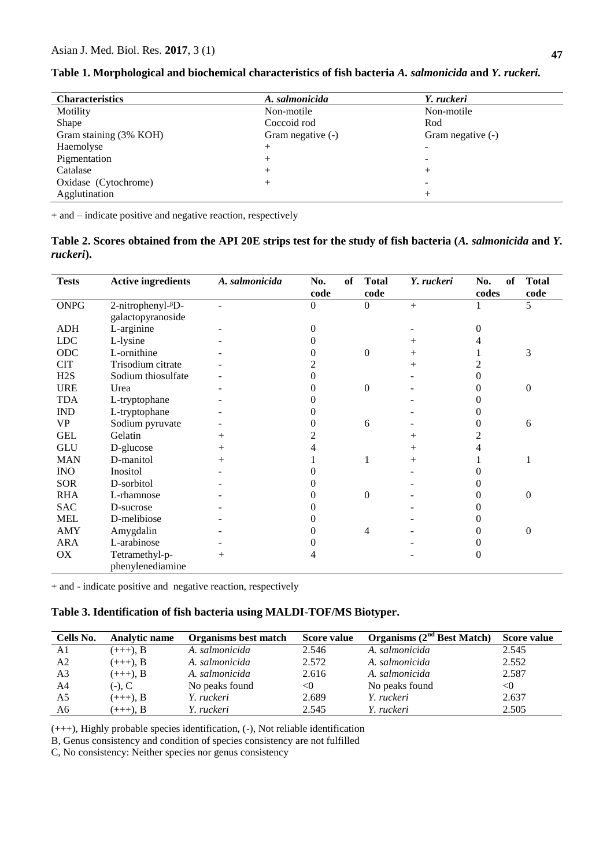| <b>Characteristics</b> | A. salmonicida    | Y. ruckeri        |
|------------------------|-------------------|-------------------|
| Motility               | Non-motile        | Non-motile        |
| Shape                  | Coccoid rod       | Rod               |
| Gram staining (3% KOH) | Gram negative (-) | Gram negative (-) |
| Haemolyse              | $^+$              |                   |
| Pigmentation           | $^{+}$            |                   |
| Catalase               | $^+$              |                   |
| Oxidase (Cytochrome)   |                   |                   |
| Agglutination          |                   |                   |

**Table 1. Morphological and biochemical characteristics of fish bacteria** *A. salmonicida* **and** *Y. ruckeri.*

+ and – indicate positive and negative reaction, respectively

|           |  |  | Table 2. Scores obtained from the API 20E strips test for the study of fish bacteria (A. salmonicida and Y. |
|-----------|--|--|-------------------------------------------------------------------------------------------------------------|
| ruckeri). |  |  |                                                                                                             |

| <b>Tests</b> | <b>Active ingredients</b>                       | A. salmonicida | No.<br>of<br>code | <b>Total</b><br>code | Y. ruckeri | No.<br>of<br>codes | <b>Total</b><br>code |
|--------------|-------------------------------------------------|----------------|-------------------|----------------------|------------|--------------------|----------------------|
| <b>ONPG</b>  | 2-nitrophenyl- <sup><math>\beta</math></sup> D- |                | $\overline{0}$    | 0                    | $^{+}$     |                    | 5                    |
|              | galactopyranoside                               |                |                   |                      |            |                    |                      |
| <b>ADH</b>   | L-arginine                                      |                | $\theta$          |                      |            | 0                  |                      |
| <b>LDC</b>   | L-lysine                                        |                | 0                 |                      | ┿          |                    |                      |
| ODC          | L-ornithine                                     |                | 0                 | $\boldsymbol{0}$     | $\! +$     |                    | 3                    |
| <b>CIT</b>   | Trisodium citrate                               |                | 2                 |                      | $\! +$     |                    |                      |
| H2S          | Sodium thiosulfate                              |                | 0                 |                      |            | 0                  |                      |
| <b>URE</b>   | Urea                                            |                | $\theta$          | 0                    |            | 0                  | $\boldsymbol{0}$     |
| <b>TDA</b>   | L-tryptophane                                   |                |                   |                      |            |                    |                      |
| <b>IND</b>   | L-tryptophane                                   |                | 0                 |                      |            |                    |                      |
| <b>VP</b>    | Sodium pyruvate                                 |                | $\theta$          | 6                    |            | 0                  | 6                    |
| <b>GEL</b>   | Gelatin                                         |                |                   |                      | $\! +$     |                    |                      |
| <b>GLU</b>   | D-glucose                                       |                |                   |                      | $\! +$     |                    |                      |
| <b>MAN</b>   | D-manitol                                       |                |                   |                      | $\! +$     |                    |                      |
| <b>INO</b>   | Inositol                                        |                |                   |                      |            |                    |                      |
| <b>SOR</b>   | D-sorbitol                                      |                |                   |                      |            |                    |                      |
| <b>RHA</b>   | L-rhamnose                                      |                |                   | 0                    |            |                    | $\overline{0}$       |
| <b>SAC</b>   | D-sucrose                                       |                |                   |                      |            |                    |                      |
| <b>MEL</b>   | D-melibiose                                     |                |                   |                      |            |                    |                      |
| <b>AMY</b>   | Amygdalin                                       |                | 0                 | 4                    |            | 0                  | $\overline{0}$       |
| <b>ARA</b>   | L-arabinose                                     |                |                   |                      |            |                    |                      |
| OX           | Tetramethyl-p-                                  | $^{+}$         | 4                 |                      |            | 0                  |                      |
|              | phenylenediamine                                |                |                   |                      |            |                    |                      |

+ and - indicate positive and negative reaction, respectively

## **Table 3. Identification of fish bacteria using MALDI-TOF/MS Biotyper.**

| Cells No.      | <b>Analytic name</b> | Organisms best match | Score value | Organisms $(2nd Best Match)$ | Score value |
|----------------|----------------------|----------------------|-------------|------------------------------|-------------|
| A1             | $(+++)$ , B          | A. salmonicida       | 2.546       | A. salmonicida               | 2.545       |
| A <sub>2</sub> | $(+++)$ , B          | A. salmonicida       | 2.572       | A. salmonicida               | 2.552       |
| A <sub>3</sub> | $(+++)$ , B          | A. salmonicida       | 2.616       | A. salmonicida               | 2.587       |
| A4             | $(-)$ , C            | No peaks found       | < 0         | No peaks found               | $<$ 0       |
| A5             | $(+++)$ , B          | Y. ruckeri           | 2.689       | Y. ruckeri                   | 2.637       |
| A6             | $(+++)$ , B          | Y. ruckeri           | 2.545       | Y. ruckeri                   | 2.505       |

(+++), Highly probable species identification, (-), Not reliable identification

B, Genus consistency and condition of species consistency are not fulfilled

C, No consistency: Neither species nor genus consistency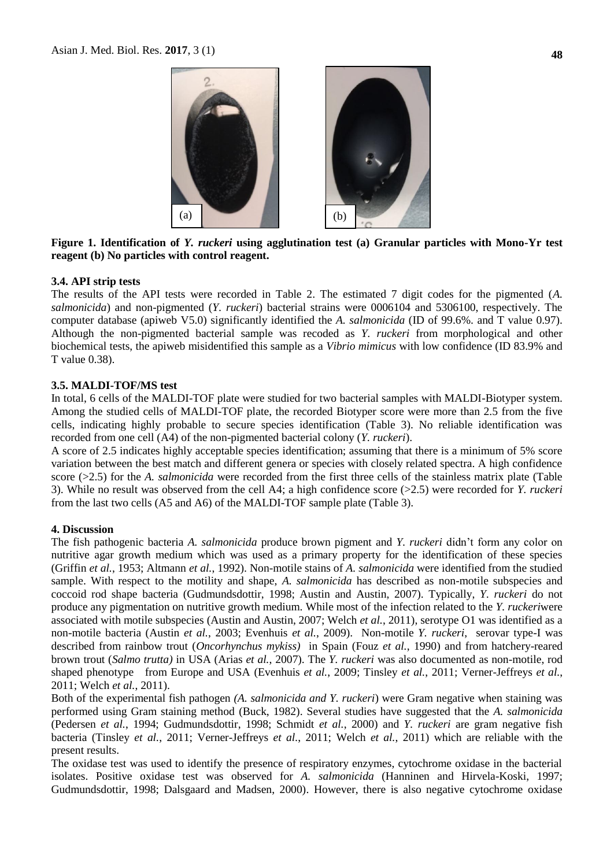

**Figure 1. Identification of** *Y. ruckeri* **using agglutination test (a) Granular particles with Mono-Yr test reagent (b) No particles with control reagent.**

## **3.4. API strip tests**

The results of the API tests were recorded in Table 2. The estimated 7 digit codes for the pigmented (*A. salmonicida*) and non-pigmented (*Y. ruckeri*) bacterial strains were 0006104 and 5306100, respectively. The computer database (apiweb V5.0) significantly identified the *A. salmonicida* (ID of 99.6%. and T value 0.97). Although the non-pigmented bacterial sample was recoded as *Y. ruckeri* from morphological and other biochemical tests, the apiweb misidentified this sample as a *Vibrio mimicus* with low confidence (ID 83.9% and T value 0.38).

## **3.5. MALDI-TOF/MS test**

In total, 6 cells of the MALDI-TOF plate were studied for two bacterial samples with MALDI-Biotyper system. Among the studied cells of MALDI-TOF plate, the recorded Biotyper score were more than 2.5 from the five cells, indicating highly probable to secure species identification (Table 3). No reliable identification was recorded from one cell (A4) of the non-pigmented bacterial colony (*Y. ruckeri*).

A score of 2.5 indicates highly acceptable species identification; assuming that there is a minimum of 5% score variation between the best match and different genera or species with closely related spectra. A high confidence score (>2.5) for the *A. salmonicida* were recorded from the first three cells of the stainless matrix plate (Table 3). While no result was observed from the cell A4; a high confidence score (>2.5) were recorded for *Y. ruckeri*  from the last two cells (A5 and A6) of the MALDI-TOF sample plate (Table 3).

#### **4. Discussion**

The fish pathogenic bacteria *A. salmonicida* produce brown pigment and *Y. ruckeri* didn't form any color on nutritive agar growth medium which was used as a primary property for the identification of these species (Griffin *et al.*, 1953; Altmann *et al.*, 1992). Non-motile stains of *A. salmonicida* were identified from the studied sample. With respect to the motility and shape, *A. salmonicida* has described as non-motile subspecies and coccoid rod shape bacteria (Gudmundsdottir, 1998; Austin and Austin, 2007). Typically, *Y. ruckeri* do not produce any pigmentation on nutritive growth medium. While most of the infection related to the *Y. ruckeri*were associated with motile subspecies (Austin and Austin, 2007; Welch *et al.*, 2011), serotype O1 was identified as a non-motile bacteria (Austin *et al.*, 2003; Evenhuis *et al.*, 2009). Non-motile *Y. ruckeri*, serovar type-I was described from rainbow trout (*Oncorhynchus mykiss)* in Spain (Fouz *et al.*, 1990) and from hatchery-reared brown trout (*Salmo trutta)* in USA (Arias *et al.*, 2007). The *Y. ruckeri* was also documented as non-motile, rod shaped phenotype from Europe and USA (Evenhuis *et al.*, 2009; Tinsley *et al.*, 2011; Verner-Jeffreys *et al.*, 2011; Welch *et al.*, 2011).

Both of the experimental fish pathogen *(A. salmonicida and Y. ruckeri*) were Gram negative when staining was performed using Gram staining method (Buck, 1982). Several studies have suggested that the *A. salmonicida*  (Pedersen *et al.*, 1994; Gudmundsdottir, 1998; Schmidt *et al.*, 2000) and *Y. ruckeri* are gram negative fish bacteria (Tinsley *et al.*, 2011; Verner-Jeffreys *et al.*, 2011; Welch *et al.*, 2011) which are reliable with the present results.

The oxidase test was used to identify the presence of respiratory enzymes, cytochrome oxidase in the bacterial isolates. Positive oxidase test was observed for *A. salmonicida* (Hanninen and Hirvela-Koski, 1997; Gudmundsdottir, 1998; Dalsgaard and Madsen, 2000). However, there is also negative cytochrome oxidase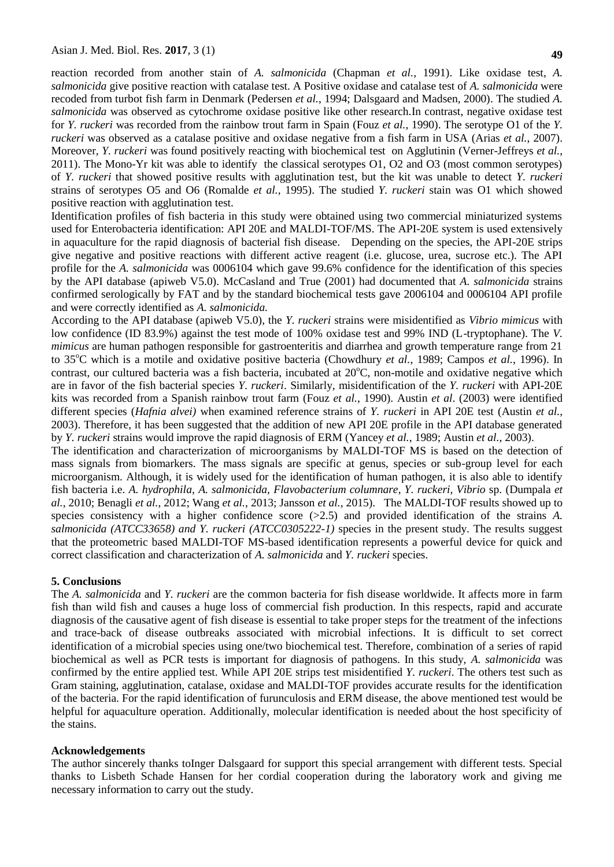reaction recorded from another stain of *A. salmonicida* (Chapman *et al.*, 1991). Like oxidase test, *A. salmonicida* give positive reaction with catalase test. A Positive oxidase and catalase test of *A. salmonicida* were recoded from turbot fish farm in Denmark (Pedersen *et al.*, 1994; Dalsgaard and Madsen, 2000). The studied *A. salmonicida* was observed as cytochrome oxidase positive like other research.In contrast, negative oxidase test for *Y. ruckeri* was recorded from the rainbow trout farm in Spain (Fouz *et al.*, 1990). The serotype O1 of the *Y. ruckeri* was observed as a catalase positive and oxidase negative from a fish farm in USA (Arias *et al.*, 2007). Moreover, *Y. ruckeri* was found positively reacting with biochemical test on Agglutinin (Verner-Jeffreys *et al.*, 2011). The Mono-Yr kit was able to identify the classical serotypes O1, O2 and O3 (most common serotypes) of *Y. ruckeri* that showed positive results with agglutination test, but the kit was unable to detect *Y. ruckeri*  strains of serotypes O5 and O6 (Romalde *et al.*, 1995). The studied *Y. ruckeri* stain was O1 which showed positive reaction with agglutination test.

Identification profiles of fish bacteria in this study were obtained using two commercial miniaturized systems used for Enterobacteria identification: API 20E and MALDI-TOF/MS. The API-20E system is used extensively in aquaculture for the rapid diagnosis of bacterial fish disease. Depending on the species, the API-20E strips give negative and positive reactions with different active reagent (i.e. glucose, urea, sucrose etc.). The API profile for the *A. salmonicida* was 0006104 which gave 99.6% confidence for the identification of this species by the API database (apiweb V5.0). McCasland and True (2001) had documented that *A. salmonicida* strains confirmed serologically by FAT and by the standard biochemical tests gave 2006104 and 0006104 API profile and were correctly identified as *A. salmonicida.*

According to the API database (apiweb V5.0), the *Y. ruckeri* strains were misidentified as *Vibrio mimicus* with low confidence (ID 83.9%) against the test mode of 100% oxidase test and 99% IND (L-tryptophane). The *V. mimicus* are human pathogen responsible for gastroenteritis and diarrhea and growth temperature range from 21 to 35<sup>o</sup>C which is a motile and oxidative positive bacteria (Chowdhury *et al.*, 1989; Campos *et al.*, 1996). In contrast, our cultured bacteria was a fish bacteria, incubated at  $20^{\circ}$ C, non-motile and oxidative negative which are in favor of the fish bacterial species *Y. ruckeri*. Similarly, misidentification of the *Y. ruckeri* with API-20E kits was recorded from a Spanish rainbow trout farm (Fouz *et al.*, 1990). Austin *et al*. (2003) were identified different species (*Hafnia alvei)* when examined reference strains of *Y. ruckeri* in API 20E test (Austin *et al.*, 2003). Therefore, it has been suggested that the addition of new API 20E profile in the API database generated by *Y. ruckeri* strains would improve the rapid diagnosis of ERM (Yancey *et al.*, 1989; Austin *et al.*, 2003).

The identification and characterization of microorganisms by MALDI-TOF MS is based on the detection of mass signals from biomarkers. The mass signals are specific at genus, species or sub-group level for each microorganism. Although, it is widely used for the identification of human pathogen, it is also able to identify fish bacteria i.e. *A. hydrophila, A. salmonicida, Flavobacterium columnare*, *Y. ruckeri, Vibrio* sp. (Dumpala *et al.*, 2010; Benagli *et al.*, 2012; Wang *et al.*, 2013; Jansson *et al.*, 2015). The MALDI-TOF results showed up to species consistency with a higher confidence score (>2.5) and provided identification of the strains *A*. *salmonicida (ATCC33658) and Y. ruckeri (ATCC0305222-1)* species in the present study. The results suggest that the proteometric based MALDI-TOF MS-based identification represents a powerful device for quick and correct classification and characterization of *A. salmonicida* and *Y. ruckeri* species.

#### **5. Conclusions**

The *A. salmonicida* and *Y. ruckeri* are the common bacteria for fish disease worldwide. It affects more in farm fish than wild fish and causes a huge loss of commercial fish production. In this respects, rapid and accurate diagnosis of the causative agent of fish disease is essential to take proper steps for the treatment of the infections and trace-back of disease outbreaks associated with microbial infections. It is difficult to set correct identification of a microbial species using one/two biochemical test. Therefore, combination of a series of rapid biochemical as well as PCR tests is important for diagnosis of pathogens. In this study, *A. salmonicida* was confirmed by the entire applied test. While API 20E strips test misidentified *Y. ruckeri*. The others test such as Gram staining, agglutination, catalase, oxidase and MALDI-TOF provides accurate results for the identification of the bacteria. For the rapid identification of furunculosis and ERM disease, the above mentioned test would be helpful for aquaculture operation. Additionally, molecular identification is needed about the host specificity of the stains.

#### **Acknowledgements**

The author sincerely thanks toInger Dalsgaard for support this special arrangement with different tests. Special thanks to Lisbeth Schade Hansen for her cordial cooperation during the laboratory work and giving me necessary information to carry out the study.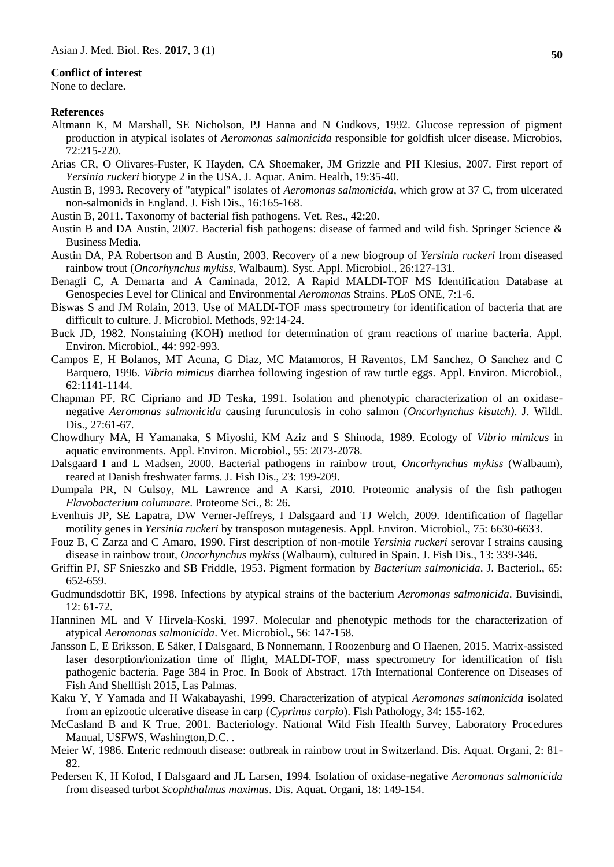#### **Conflict of interest**

None to declare.

#### **References**

- Altmann K, M Marshall, SE Nicholson, PJ Hanna and N Gudkovs, 1992. Glucose repression of pigment production in atypical isolates of *Aeromonas salmonicida* responsible for goldfish ulcer disease. Microbios, 72:215-220.
- Arias CR, O Olivares-Fuster, K Hayden, CA Shoemaker, JM Grizzle and PH Klesius, 2007. First report of *Yersinia ruckeri* biotype 2 in the USA. J. Aquat. Anim. Health, 19:35-40.
- Austin B, 1993. Recovery of "atypical" isolates of *Aeromonas salmonicida*, which grow at 37 C, from ulcerated non-salmonids in England. J. Fish Dis., 16:165-168.
- Austin B, 2011. Taxonomy of bacterial fish pathogens. Vet. Res., 42:20.
- Austin B and DA Austin, 2007. Bacterial fish pathogens: disease of farmed and wild fish. Springer Science & Business Media.
- Austin DA, PA Robertson and B Austin, 2003. Recovery of a new biogroup of *Yersinia ruckeri* from diseased rainbow trout (*Oncorhynchus mykiss*, Walbaum). Syst. Appl. Microbiol., 26:127-131.
- Benagli C, A Demarta and A Caminada, 2012. A Rapid MALDI-TOF MS Identification Database at Genospecies Level for Clinical and Environmental *Aeromonas* Strains. PLoS ONE, 7:1-6.
- Biswas S and JM Rolain, 2013. Use of MALDI-TOF mass spectrometry for identification of bacteria that are difficult to culture. J. Microbiol. Methods, 92:14-24.
- Buck JD, 1982. Nonstaining (KOH) method for determination of gram reactions of marine bacteria. Appl. Environ. Microbiol., 44: 992-993.
- Campos E, H Bolanos, MT Acuna, G Diaz, MC Matamoros, H Raventos, LM Sanchez, O Sanchez and C Barquero, 1996. *Vibrio mimicus* diarrhea following ingestion of raw turtle eggs. Appl. Environ. Microbiol., 62:1141-1144.
- Chapman PF, RC Cipriano and JD Teska, 1991. Isolation and phenotypic characterization of an oxidasenegative *Aeromonas salmonicida* causing furunculosis in coho salmon (*Oncorhynchus kisutch)*. J. Wildl. Dis., 27:61-67.
- Chowdhury MA, H Yamanaka, S Miyoshi, KM Aziz and S Shinoda, 1989. Ecology of *Vibrio mimicus* in aquatic environments. Appl. Environ. Microbiol., 55: 2073-2078.
- Dalsgaard I and L Madsen, 2000. Bacterial pathogens in rainbow trout, *Oncorhynchus mykiss* (Walbaum), reared at Danish freshwater farms. J. Fish Dis., 23: 199-209.
- Dumpala PR, N Gulsoy, ML Lawrence and A Karsi, 2010. Proteomic analysis of the fish pathogen *Flavobacterium columnare*. Proteome Sci., 8: 26.
- Evenhuis JP, SE Lapatra, DW Verner-Jeffreys, I Dalsgaard and TJ Welch, 2009. Identification of flagellar motility genes in *Yersinia ruckeri* by transposon mutagenesis. Appl. Environ. Microbiol., 75: 6630-6633.
- Fouz B, C Zarza and C Amaro, 1990. First description of non-motile *Yersinia ruckeri* serovar I strains causing disease in rainbow trout, *Oncorhynchus mykiss* (Walbaum), cultured in Spain. J. Fish Dis., 13: 339-346.
- Griffin PJ, SF Snieszko and SB Friddle, 1953. Pigment formation by *Bacterium salmonicida*. J. Bacteriol., 65: 652-659.
- Gudmundsdottir BK, 1998. Infections by atypical strains of the bacterium *Aeromonas salmonicida*. Buvisindi, 12: 61-72.
- Hanninen ML and V Hirvela-Koski, 1997. Molecular and phenotypic methods for the characterization of atypical *Aeromonas salmonicida*. Vet. Microbiol., 56: 147-158.
- Jansson E, E Eriksson, E Säker, I Dalsgaard, B Nonnemann, I Roozenburg and O Haenen, 2015. Matrix-assisted laser desorption/ionization time of flight, MALDI-TOF, mass spectrometry for identification of fish pathogenic bacteria. Page 384 in Proc. In Book of Abstract. 17th International Conference on Diseases of Fish And Shellfish 2015, Las Palmas.
- Kaku Y, Y Yamada and H Wakabayashi, 1999. Characterization of atypical *Aeromonas salmonicida* isolated from an epizootic ulcerative disease in carp (*Cyprinus carpio*). Fish Pathology, 34: 155-162.
- McCasland B and K True, 2001. Bacteriology. National Wild Fish Health Survey, Laboratory Procedures Manual, USFWS, Washington,D.C. .
- Meier W, 1986. Enteric redmouth disease: outbreak in rainbow trout in Switzerland. Dis. Aquat. Organi, 2: 81- 82.
- Pedersen K, H Kofod, I Dalsgaard and JL Larsen, 1994. Isolation of oxidase-negative *Aeromonas salmonicida*  from diseased turbot *Scophthalmus maximus*. Dis. Aquat. Organi, 18: 149-154.